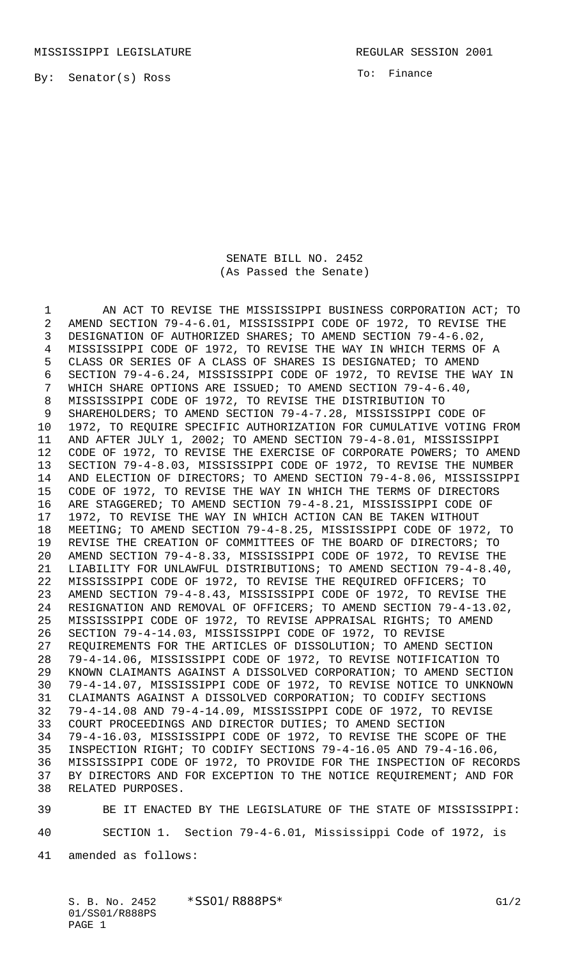To: Finance

SENATE BILL NO. 2452 (As Passed the Senate)

 AN ACT TO REVISE THE MISSISSIPPI BUSINESS CORPORATION ACT; TO AMEND SECTION 79-4-6.01, MISSISSIPPI CODE OF 1972, TO REVISE THE DESIGNATION OF AUTHORIZED SHARES; TO AMEND SECTION 79-4-6.02, MISSISSIPPI CODE OF 1972, TO REVISE THE WAY IN WHICH TERMS OF A CLASS OR SERIES OF A CLASS OF SHARES IS DESIGNATED; TO AMEND SECTION 79-4-6.24, MISSISSIPPI CODE OF 1972, TO REVISE THE WAY IN WHICH SHARE OPTIONS ARE ISSUED; TO AMEND SECTION 79-4-6.40, MISSISSIPPI CODE OF 1972, TO REVISE THE DISTRIBUTION TO SHAREHOLDERS; TO AMEND SECTION 79-4-7.28, MISSISSIPPI CODE OF 1972, TO REQUIRE SPECIFIC AUTHORIZATION FOR CUMULATIVE VOTING FROM AND AFTER JULY 1, 2002; TO AMEND SECTION 79-4-8.01, MISSISSIPPI CODE OF 1972, TO REVISE THE EXERCISE OF CORPORATE POWERS; TO AMEND SECTION 79-4-8.03, MISSISSIPPI CODE OF 1972, TO REVISE THE NUMBER AND ELECTION OF DIRECTORS; TO AMEND SECTION 79-4-8.06, MISSISSIPPI CODE OF 1972, TO REVISE THE WAY IN WHICH THE TERMS OF DIRECTORS ARE STAGGERED; TO AMEND SECTION 79-4-8.21, MISSISSIPPI CODE OF 1972, TO REVISE THE WAY IN WHICH ACTION CAN BE TAKEN WITHOUT MEETING; TO AMEND SECTION 79-4-8.25, MISSISSIPPI CODE OF 1972, TO REVISE THE CREATION OF COMMITTEES OF THE BOARD OF DIRECTORS; TO AMEND SECTION 79-4-8.33, MISSISSIPPI CODE OF 1972, TO REVISE THE LIABILITY FOR UNLAWFUL DISTRIBUTIONS; TO AMEND SECTION 79-4-8.40, MISSISSIPPI CODE OF 1972, TO REVISE THE REQUIRED OFFICERS; TO AMEND SECTION 79-4-8.43, MISSISSIPPI CODE OF 1972, TO REVISE THE RESIGNATION AND REMOVAL OF OFFICERS; TO AMEND SECTION 79-4-13.02, MISSISSIPPI CODE OF 1972, TO REVISE APPRAISAL RIGHTS; TO AMEND SECTION 79-4-14.03, MISSISSIPPI CODE OF 1972, TO REVISE REQUIREMENTS FOR THE ARTICLES OF DISSOLUTION; TO AMEND SECTION 79-4-14.06, MISSISSIPPI CODE OF 1972, TO REVISE NOTIFICATION TO KNOWN CLAIMANTS AGAINST A DISSOLVED CORPORATION; TO AMEND SECTION 79-4-14.07, MISSISSIPPI CODE OF 1972, TO REVISE NOTICE TO UNKNOWN CLAIMANTS AGAINST A DISSOLVED CORPORATION; TO CODIFY SECTIONS 79-4-14.08 AND 79-4-14.09, MISSISSIPPI CODE OF 1972, TO REVISE COURT PROCEEDINGS AND DIRECTOR DUTIES; TO AMEND SECTION 79-4-16.03, MISSISSIPPI CODE OF 1972, TO REVISE THE SCOPE OF THE INSPECTION RIGHT; TO CODIFY SECTIONS 79-4-16.05 AND 79-4-16.06, MISSISSIPPI CODE OF 1972, TO PROVIDE FOR THE INSPECTION OF RECORDS BY DIRECTORS AND FOR EXCEPTION TO THE NOTICE REQUIREMENT; AND FOR RELATED PURPOSES.

 BE IT ENACTED BY THE LEGISLATURE OF THE STATE OF MISSISSIPPI: SECTION 1. Section 79-4-6.01, Mississippi Code of 1972, is

amended as follows: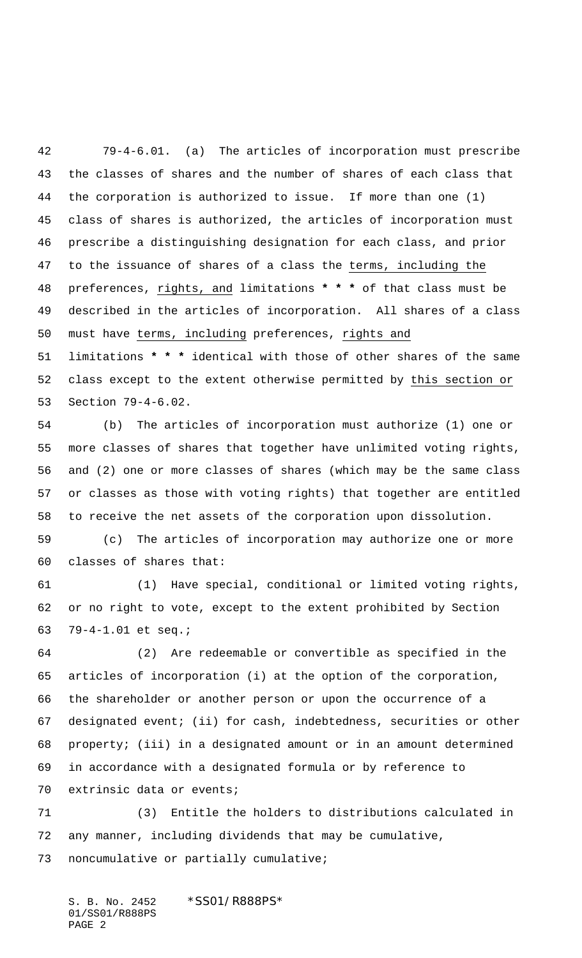79-4-6.01. (a) The articles of incorporation must prescribe the classes of shares and the number of shares of each class that the corporation is authorized to issue. If more than one (1) class of shares is authorized, the articles of incorporation must prescribe a distinguishing designation for each class, and prior to the issuance of shares of a class the terms, including the preferences, rights, and limitations **\* \* \*** of that class must be described in the articles of incorporation. All shares of a class must have terms, including preferences, rights and

 limitations **\* \* \*** identical with those of other shares of the same class except to the extent otherwise permitted by this section or Section 79-4-6.02.

 (b) The articles of incorporation must authorize (1) one or more classes of shares that together have unlimited voting rights, and (2) one or more classes of shares (which may be the same class or classes as those with voting rights) that together are entitled to receive the net assets of the corporation upon dissolution.

 (c) The articles of incorporation may authorize one or more classes of shares that:

 (1) Have special, conditional or limited voting rights, or no right to vote, except to the extent prohibited by Section 79-4-1.01 et seq.;

 (2) Are redeemable or convertible as specified in the articles of incorporation (i) at the option of the corporation, the shareholder or another person or upon the occurrence of a designated event; (ii) for cash, indebtedness, securities or other property; (iii) in a designated amount or in an amount determined in accordance with a designated formula or by reference to extrinsic data or events;

 (3) Entitle the holders to distributions calculated in any manner, including dividends that may be cumulative, noncumulative or partially cumulative;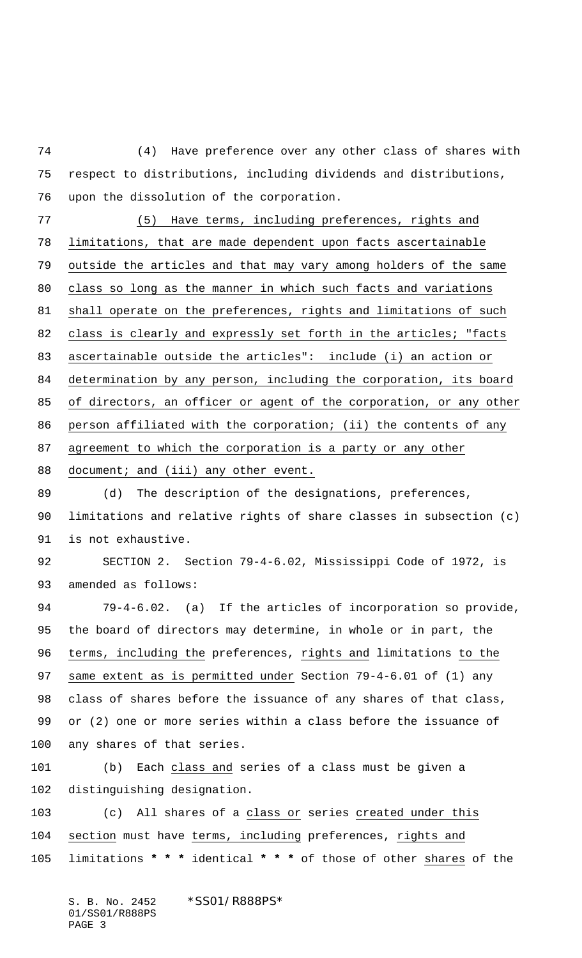(4) Have preference over any other class of shares with respect to distributions, including dividends and distributions, upon the dissolution of the corporation. (5) Have terms, including preferences, rights and limitations, that are made dependent upon facts ascertainable outside the articles and that may vary among holders of the same class so long as the manner in which such facts and variations shall operate on the preferences, rights and limitations of such 82 class is clearly and expressly set forth in the articles; "facts ascertainable outside the articles": include (i) an action or 84 determination by any person, including the corporation, its board of directors, an officer or agent of the corporation, or any other person affiliated with the corporation; (ii) the contents of any 87 agreement to which the corporation is a party or any other 88 document; and (iii) any other event. 89 (d) The description of the designations, preferences, limitations and relative rights of share classes in subsection (c) is not exhaustive. SECTION 2. Section 79-4-6.02, Mississippi Code of 1972, is amended as follows: 79-4-6.02. (a) If the articles of incorporation so provide, the board of directors may determine, in whole or in part, the terms, including the preferences, rights and limitations to the same extent as is permitted under Section 79-4-6.01 of (1) any class of shares before the issuance of any shares of that class, or (2) one or more series within a class before the issuance of any shares of that series. (b) Each class and series of a class must be given a distinguishing designation. (c) All shares of a class or series created under this 104 section must have terms, including preferences, rights and limitations **\* \* \*** identical **\* \* \*** of those of other shares of the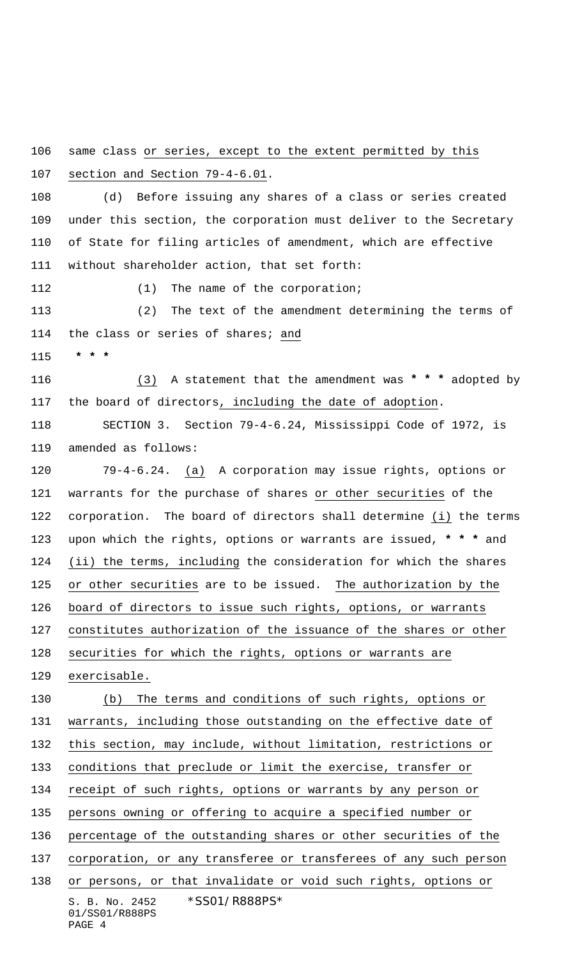same class or series, except to the extent permitted by this

section and Section 79-4-6.01.

 (d) Before issuing any shares of a class or series created under this section, the corporation must deliver to the Secretary of State for filing articles of amendment, which are effective without shareholder action, that set forth:

112 (1) The name of the corporation;

 (2) The text of the amendment determining the terms of the class or series of shares; and

 **\* \* \***

 (3)A statement that the amendment was **\* \* \*** adopted by the board of directors, including the date of adoption.

 SECTION 3. Section 79-4-6.24, Mississippi Code of 1972, is amended as follows:

 79-4-6.24. (a) A corporation may issue rights, options or warrants for the purchase of shares or other securities of the corporation. The board of directors shall determine (i) the terms upon which the rights, options or warrants are issued, **\* \* \*** and (ii) the terms, including the consideration for which the shares or other securities are to be issued. The authorization by the board of directors to issue such rights, options, or warrants constitutes authorization of the issuance of the shares or other securities for which the rights, options or warrants are

exercisable.

PAGE 4

S. B. No. 2452 \* SS01/R888PS\* 01/SS01/R888PS (b) The terms and conditions of such rights, options or warrants, including those outstanding on the effective date of this section, may include, without limitation, restrictions or conditions that preclude or limit the exercise, transfer or receipt of such rights, options or warrants by any person or persons owning or offering to acquire a specified number or percentage of the outstanding shares or other securities of the 137 corporation, or any transferee or transferees of any such person or persons, or that invalidate or void such rights, options or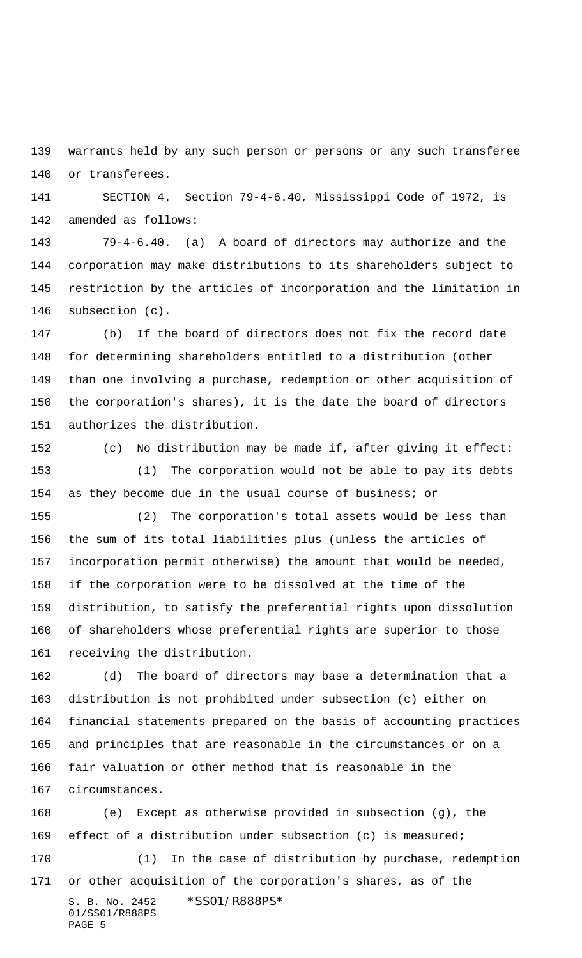warrants held by any such person or persons or any such transferee

or transferees.

 SECTION 4. Section 79-4-6.40, Mississippi Code of 1972, is amended as follows:

 79-4-6.40. (a) A board of directors may authorize and the corporation may make distributions to its shareholders subject to restriction by the articles of incorporation and the limitation in subsection (c).

 (b) If the board of directors does not fix the record date for determining shareholders entitled to a distribution (other than one involving a purchase, redemption or other acquisition of the corporation's shares), it is the date the board of directors authorizes the distribution.

 (c) No distribution may be made if, after giving it effect: (1) The corporation would not be able to pay its debts as they become due in the usual course of business; or

 (2) The corporation's total assets would be less than the sum of its total liabilities plus (unless the articles of incorporation permit otherwise) the amount that would be needed, if the corporation were to be dissolved at the time of the distribution, to satisfy the preferential rights upon dissolution of shareholders whose preferential rights are superior to those receiving the distribution.

 (d) The board of directors may base a determination that a distribution is not prohibited under subsection (c) either on financial statements prepared on the basis of accounting practices and principles that are reasonable in the circumstances or on a fair valuation or other method that is reasonable in the circumstances.

S. B. No. 2452 \*SS01/R888PS\* 01/SS01/R888PS PAGE 5 (e) Except as otherwise provided in subsection (g), the effect of a distribution under subsection (c) is measured; (1) In the case of distribution by purchase, redemption or other acquisition of the corporation's shares, as of the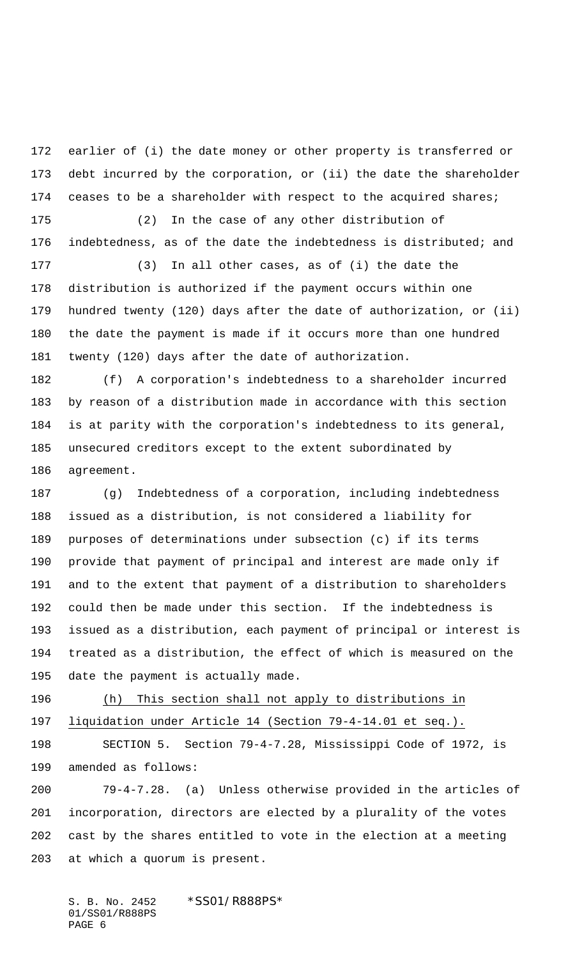earlier of (i) the date money or other property is transferred or debt incurred by the corporation, or (ii) the date the shareholder 174 ceases to be a shareholder with respect to the acquired shares;

 (2) In the case of any other distribution of indebtedness, as of the date the indebtedness is distributed; and (3) In all other cases, as of (i) the date the

 distribution is authorized if the payment occurs within one hundred twenty (120) days after the date of authorization, or (ii) the date the payment is made if it occurs more than one hundred twenty (120) days after the date of authorization.

 (f) A corporation's indebtedness to a shareholder incurred by reason of a distribution made in accordance with this section is at parity with the corporation's indebtedness to its general, unsecured creditors except to the extent subordinated by agreement.

 (g) Indebtedness of a corporation, including indebtedness issued as a distribution, is not considered a liability for purposes of determinations under subsection (c) if its terms provide that payment of principal and interest are made only if and to the extent that payment of a distribution to shareholders could then be made under this section. If the indebtedness is issued as a distribution, each payment of principal or interest is treated as a distribution, the effect of which is measured on the date the payment is actually made.

 (h) This section shall not apply to distributions in liquidation under Article 14 (Section 79-4-14.01 et seq.). SECTION 5. Section 79-4-7.28, Mississippi Code of 1972, is

amended as follows:

 79-4-7.28. (a) Unless otherwise provided in the articles of incorporation, directors are elected by a plurality of the votes cast by the shares entitled to vote in the election at a meeting at which a quorum is present.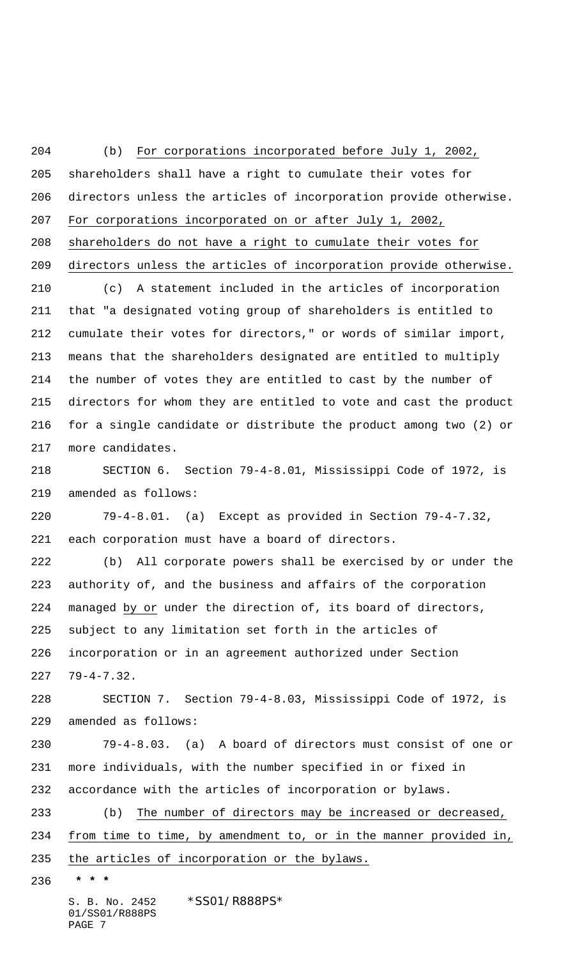(b) For corporations incorporated before July 1, 2002, shareholders shall have a right to cumulate their votes for directors unless the articles of incorporation provide otherwise. For corporations incorporated on or after July 1, 2002, shareholders do not have a right to cumulate their votes for directors unless the articles of incorporation provide otherwise.

 (c) A statement included in the articles of incorporation that "a designated voting group of shareholders is entitled to cumulate their votes for directors," or words of similar import, means that the shareholders designated are entitled to multiply the number of votes they are entitled to cast by the number of directors for whom they are entitled to vote and cast the product for a single candidate or distribute the product among two (2) or more candidates.

 SECTION 6. Section 79-4-8.01, Mississippi Code of 1972, is amended as follows:

 79-4-8.01. (a) Except as provided in Section 79-4-7.32, each corporation must have a board of directors.

 (b) All corporate powers shall be exercised by or under the authority of, and the business and affairs of the corporation managed by or under the direction of, its board of directors, subject to any limitation set forth in the articles of incorporation or in an agreement authorized under Section 79-4-7.32.

 SECTION 7. Section 79-4-8.03, Mississippi Code of 1972, is amended as follows:

 79-4-8.03. (a) A board of directors must consist of one or more individuals, with the number specified in or fixed in accordance with the articles of incorporation or bylaws.

(b) The number of directors may be increased or decreased,

from time to time, by amendment to, or in the manner provided in,

the articles of incorporation or the bylaws.

 **\* \* \***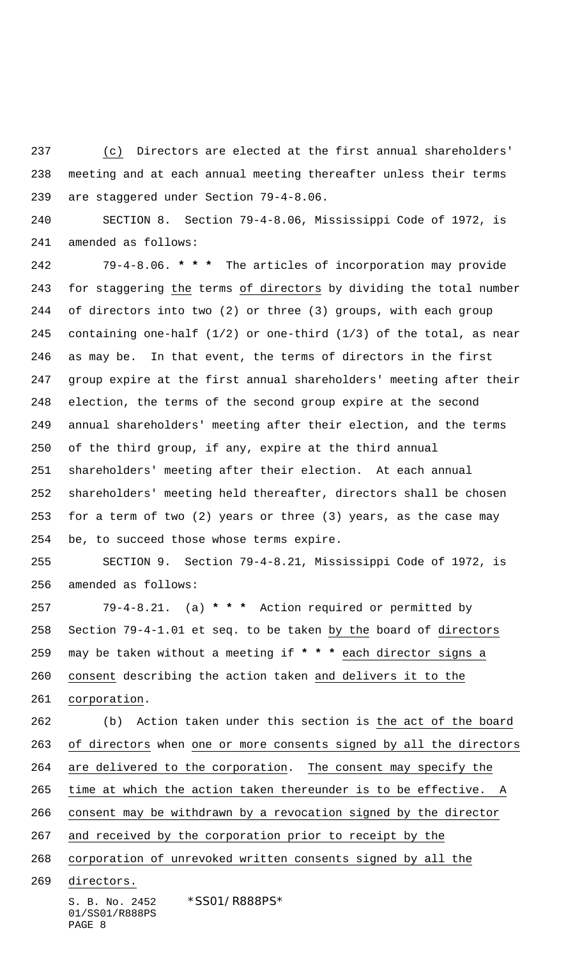(c)Directors are elected at the first annual shareholders' meeting and at each annual meeting thereafter unless their terms are staggered under Section 79-4-8.06.

 SECTION 8. Section 79-4-8.06, Mississippi Code of 1972, is amended as follows:

 79-4-8.06. **\* \* \*** The articles of incorporation may provide for staggering the terms of directors by dividing the total number of directors into two (2) or three (3) groups, with each group containing one-half (1/2) or one-third (1/3) of the total, as near as may be. In that event, the terms of directors in the first group expire at the first annual shareholders' meeting after their election, the terms of the second group expire at the second annual shareholders' meeting after their election, and the terms of the third group, if any, expire at the third annual shareholders' meeting after their election. At each annual shareholders' meeting held thereafter, directors shall be chosen for a term of two (2) years or three (3) years, as the case may be, to succeed those whose terms expire.

 SECTION 9. Section 79-4-8.21, Mississippi Code of 1972, is amended as follows:

 79-4-8.21. (a) **\* \* \*** Action required or permitted by 258 Section 79-4-1.01 et seq. to be taken by the board of directors may be taken without a meeting if **\* \* \*** each director signs a consent describing the action taken and delivers it to the corporation.

 (b) Action taken under this section is the act of the board of directors when one or more consents signed by all the directors are delivered to the corporation. The consent may specify the time at which the action taken thereunder is to be effective. A consent may be withdrawn by a revocation signed by the director and received by the corporation prior to receipt by the corporation of unrevoked written consents signed by all the directors.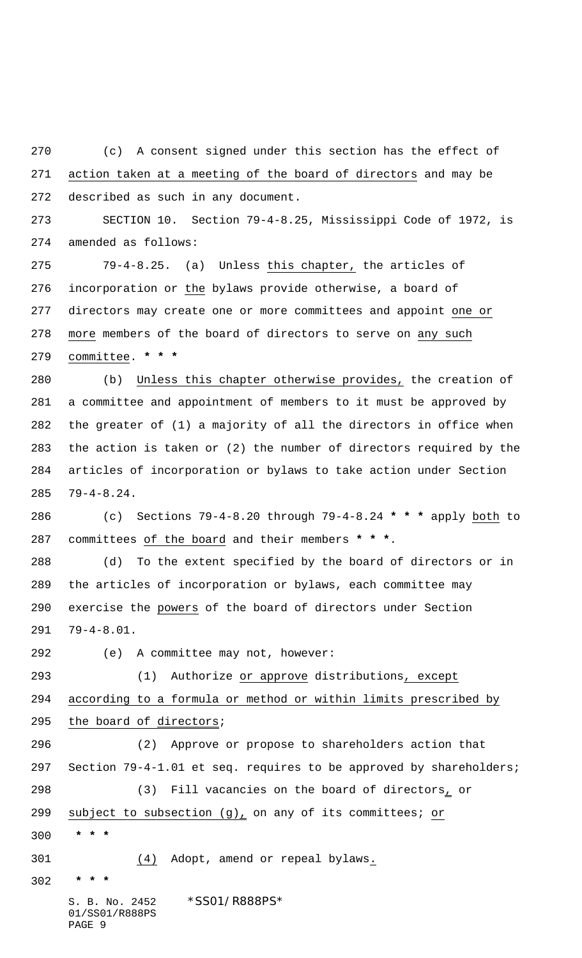(c) A consent signed under this section has the effect of action taken at a meeting of the board of directors and may be described as such in any document.

 SECTION 10. Section 79-4-8.25, Mississippi Code of 1972, is amended as follows:

 79-4-8.25. (a) Unless this chapter, the articles of incorporation or the bylaws provide otherwise, a board of directors may create one or more committees and appoint one or more members of the board of directors to serve on any such committee. **\* \* \***

 (b) Unless this chapter otherwise provides, the creation of a committee and appointment of members to it must be approved by the greater of (1) a majority of all the directors in office when the action is taken or (2) the number of directors required by the articles of incorporation or bylaws to take action under Section 79-4-8.24.

 (c) Sections 79-4-8.20 through 79-4-8.24 **\* \* \*** apply both to committees of the board and their members **\* \* \***.

 (d) To the extent specified by the board of directors or in the articles of incorporation or bylaws, each committee may exercise the powers of the board of directors under Section 79-4-8.01.

(e) A committee may not, however:

(1) Authorize or approve distributions, except

according to a formula or method or within limits prescribed by

295 the board of directors;

 (2) Approve or propose to shareholders action that Section 79-4-1.01 et seq. requires to be approved by shareholders; 298 (3) Fill vacancies on the board of directors<sub>1</sub> or 299 subject to subsection  $(g)_L$  on any of its committees; or  **\* \* \***

(4) Adopt, amend or repeal bylaws.

 **\* \* \***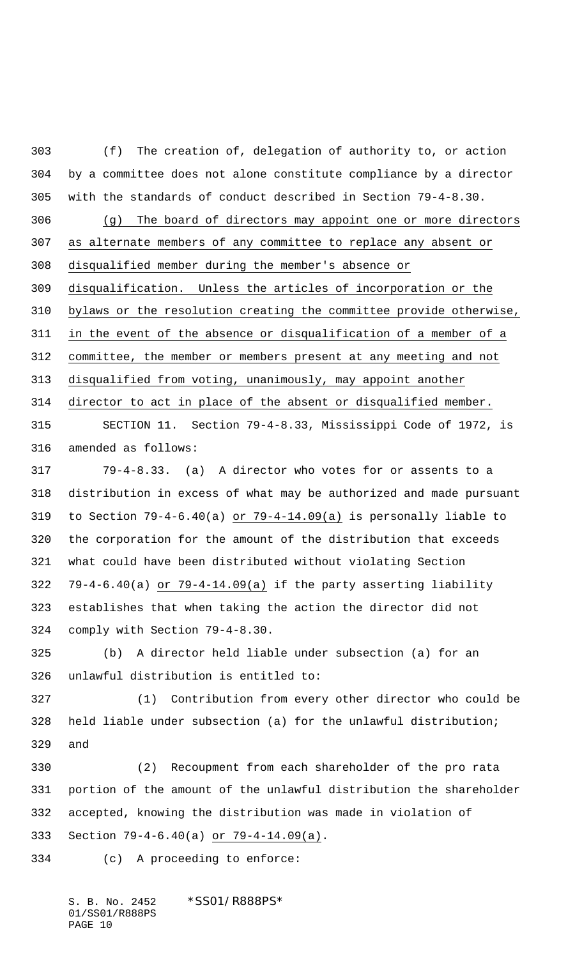(f) The creation of, delegation of authority to, or action by a committee does not alone constitute compliance by a director with the standards of conduct described in Section 79-4-8.30. (g) The board of directors may appoint one or more directors as alternate members of any committee to replace any absent or disqualified member during the member's absence or disqualification. Unless the articles of incorporation or the bylaws or the resolution creating the committee provide otherwise, in the event of the absence or disqualification of a member of a 312 committee, the member or members present at any meeting and not disqualified from voting, unanimously, may appoint another director to act in place of the absent or disqualified member. SECTION 11. Section 79-4-8.33, Mississippi Code of 1972, is amended as follows: 79-4-8.33. (a) A director who votes for or assents to a distribution in excess of what may be authorized and made pursuant 319 to Section  $79-4-6.40(a)$  or  $79-4-14.09(a)$  is personally liable to the corporation for the amount of the distribution that exceeds what could have been distributed without violating Section 79-4-6.40(a) or 79-4-14.09(a) if the party asserting liability establishes that when taking the action the director did not comply with Section 79-4-8.30.

 (b) A director held liable under subsection (a) for an unlawful distribution is entitled to:

 (1) Contribution from every other director who could be held liable under subsection (a) for the unlawful distribution; and

 (2) Recoupment from each shareholder of the pro rata portion of the amount of the unlawful distribution the shareholder accepted, knowing the distribution was made in violation of Section 79-4-6.40(a) or 79-4-14.09(a).

(c) A proceeding to enforce: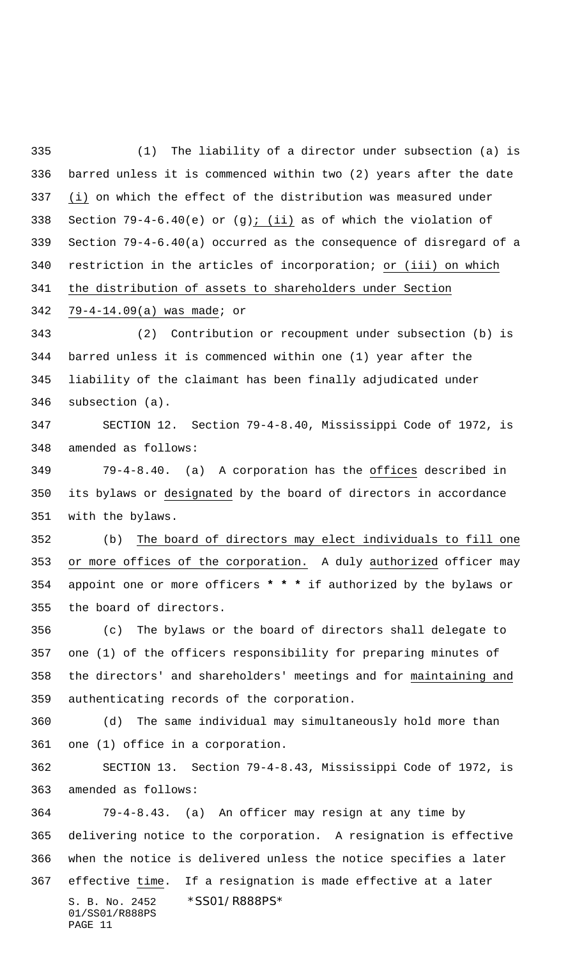S. B. No. 2452 \* SS01/R888PS\* 01/SS01/R888PS PAGE 11 (1) The liability of a director under subsection (a) is barred unless it is commenced within two (2) years after the date (i) on which the effect of the distribution was measured under 338 Section 79-4-6.40(e) or  $(g)$ :  $(ii)$  as of which the violation of Section 79-4-6.40(a) occurred as the consequence of disregard of a restriction in the articles of incorporation; or (iii) on which the distribution of assets to shareholders under Section 79-4-14.09(a) was made; or (2) Contribution or recoupment under subsection (b) is barred unless it is commenced within one (1) year after the liability of the claimant has been finally adjudicated under subsection (a). SECTION 12. Section 79-4-8.40, Mississippi Code of 1972, is amended as follows: 79-4-8.40. (a) A corporation has the offices described in its bylaws or designated by the board of directors in accordance with the bylaws. (b) The board of directors may elect individuals to fill one 353 or more offices of the corporation. A duly authorized officer may appoint one or more officers **\* \* \*** if authorized by the bylaws or the board of directors. (c) The bylaws or the board of directors shall delegate to one (1) of the officers responsibility for preparing minutes of the directors' and shareholders' meetings and for maintaining and authenticating records of the corporation. (d) The same individual may simultaneously hold more than one (1) office in a corporation. SECTION 13. Section 79-4-8.43, Mississippi Code of 1972, is amended as follows: 79-4-8.43. (a) An officer may resign at any time by delivering notice to the corporation. A resignation is effective when the notice is delivered unless the notice specifies a later effective time. If a resignation is made effective at a later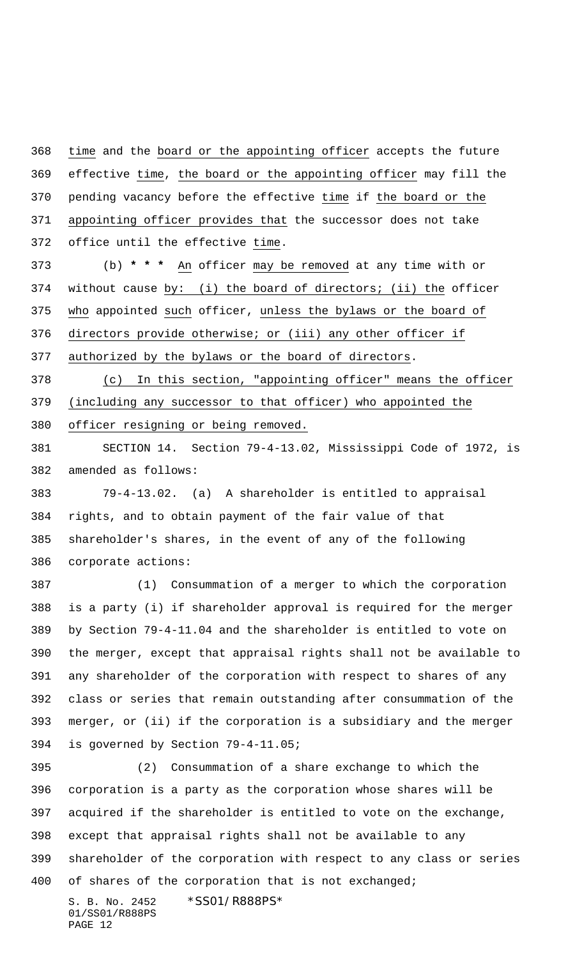time and the board or the appointing officer accepts the future effective time, the board or the appointing officer may fill the pending vacancy before the effective time if the board or the 371 appointing officer provides that the successor does not take office until the effective time.

 (b) **\* \* \*** An officer may be removed at any time with or without cause by: (i) the board of directors; (ii) the officer who appointed such officer, unless the bylaws or the board of directors provide otherwise; or (iii) any other officer if authorized by the bylaws or the board of directors.

 (c) In this section, "appointing officer" means the officer (including any successor to that officer) who appointed the officer resigning or being removed.

 SECTION 14. Section 79-4-13.02, Mississippi Code of 1972, is amended as follows:

 79-4-13.02. (a) A shareholder is entitled to appraisal rights, and to obtain payment of the fair value of that shareholder's shares, in the event of any of the following corporate actions:

 (1) Consummation of a merger to which the corporation is a party (i) if shareholder approval is required for the merger by Section 79-4-11.04 and the shareholder is entitled to vote on the merger, except that appraisal rights shall not be available to any shareholder of the corporation with respect to shares of any class or series that remain outstanding after consummation of the merger, or (ii) if the corporation is a subsidiary and the merger is governed by Section 79-4-11.05;

 (2) Consummation of a share exchange to which the corporation is a party as the corporation whose shares will be acquired if the shareholder is entitled to vote on the exchange, except that appraisal rights shall not be available to any shareholder of the corporation with respect to any class or series 400 of shares of the corporation that is not exchanged;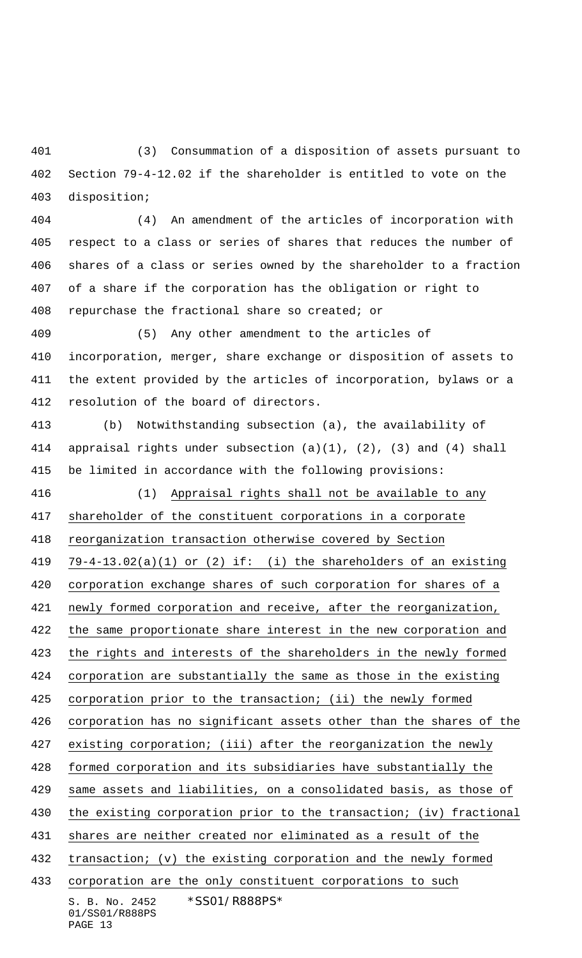(3) Consummation of a disposition of assets pursuant to Section 79-4-12.02 if the shareholder is entitled to vote on the disposition;

 (4) An amendment of the articles of incorporation with respect to a class or series of shares that reduces the number of shares of a class or series owned by the shareholder to a fraction of a share if the corporation has the obligation or right to repurchase the fractional share so created; or

 (5) Any other amendment to the articles of incorporation, merger, share exchange or disposition of assets to the extent provided by the articles of incorporation, bylaws or a resolution of the board of directors.

 (b) Notwithstanding subsection (a), the availability of appraisal rights under subsection (a)(1), (2), (3) and (4) shall be limited in accordance with the following provisions:

 (1) Appraisal rights shall not be available to any shareholder of the constituent corporations in a corporate reorganization transaction otherwise covered by Section

79-4-13.02(a)(1) or (2) if: (i) the shareholders of an existing

 corporation exchange shares of such corporation for shares of a newly formed corporation and receive, after the reorganization,

the same proportionate share interest in the new corporation and

the rights and interests of the shareholders in the newly formed

corporation are substantially the same as those in the existing

425 corporation prior to the transaction; (ii) the newly formed

corporation has no significant assets other than the shares of the

existing corporation; (iii) after the reorganization the newly

formed corporation and its subsidiaries have substantially the

same assets and liabilities, on a consolidated basis, as those of

the existing corporation prior to the transaction; (iv) fractional

shares are neither created nor eliminated as a result of the

transaction; (v) the existing corporation and the newly formed

S. B. No. 2452 \* SS01/R888PS\* corporation are the only constituent corporations to such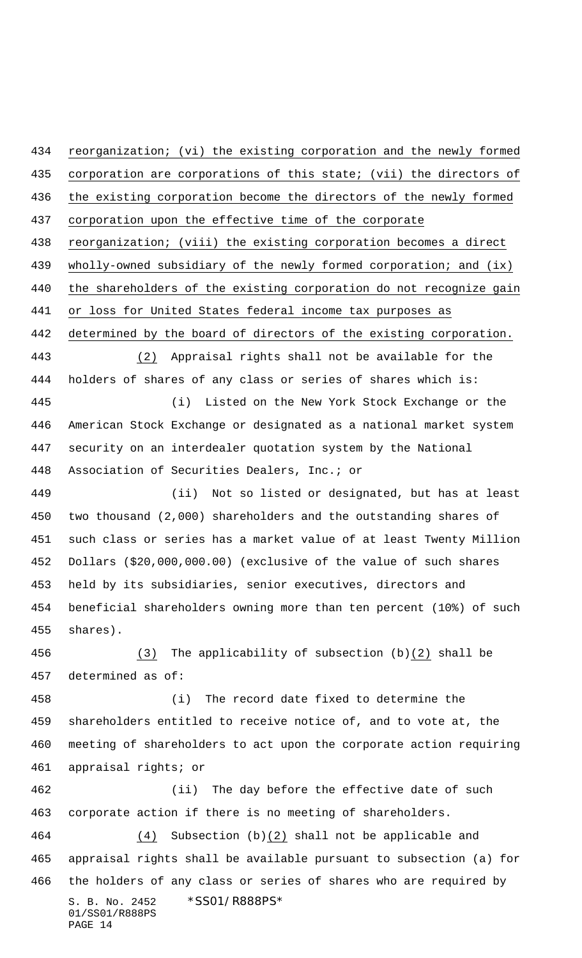S. B. No. 2452 \* SS01/R888PS\* 01/SS01/R888PS PAGE 14 reorganization; (vi) the existing corporation and the newly formed corporation are corporations of this state; (vii) the directors of the existing corporation become the directors of the newly formed corporation upon the effective time of the corporate reorganization; (viii) the existing corporation becomes a direct wholly-owned subsidiary of the newly formed corporation; and (ix) the shareholders of the existing corporation do not recognize gain or loss for United States federal income tax purposes as determined by the board of directors of the existing corporation. (2) Appraisal rights shall not be available for the holders of shares of any class or series of shares which is: (i) Listed on the New York Stock Exchange or the American Stock Exchange or designated as a national market system security on an interdealer quotation system by the National Association of Securities Dealers, Inc.; or (ii) Not so listed or designated, but has at least two thousand (2,000) shareholders and the outstanding shares of such class or series has a market value of at least Twenty Million Dollars (\$20,000,000.00) (exclusive of the value of such shares held by its subsidiaries, senior executives, directors and beneficial shareholders owning more than ten percent (10%) of such shares). (3) The applicability of subsection (b)(2) shall be determined as of: (i) The record date fixed to determine the shareholders entitled to receive notice of, and to vote at, the meeting of shareholders to act upon the corporate action requiring appraisal rights; or (ii) The day before the effective date of such corporate action if there is no meeting of shareholders. (4) Subsection (b)(2) shall not be applicable and appraisal rights shall be available pursuant to subsection (a) for the holders of any class or series of shares who are required by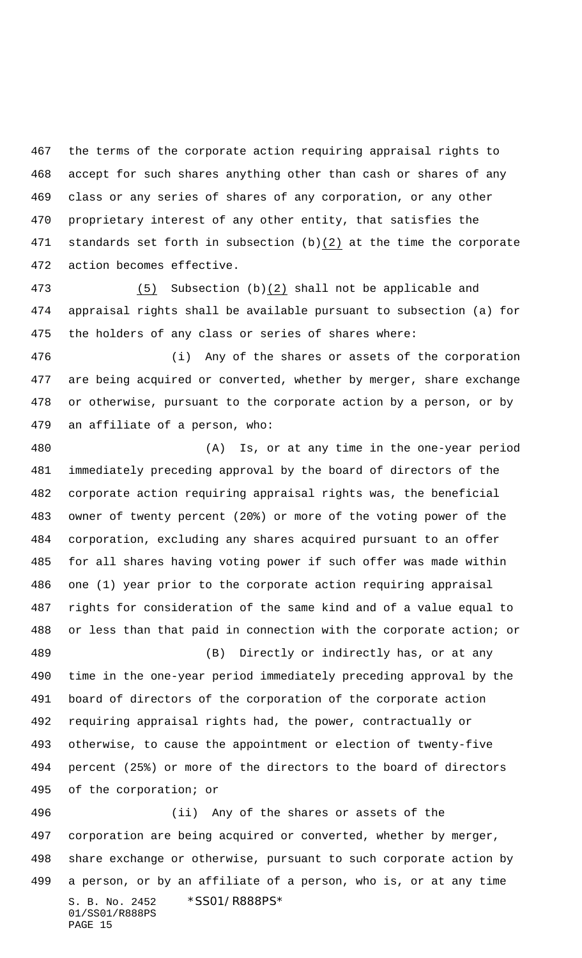the terms of the corporate action requiring appraisal rights to accept for such shares anything other than cash or shares of any class or any series of shares of any corporation, or any other proprietary interest of any other entity, that satisfies the standards set forth in subsection (b)(2) at the time the corporate action becomes effective.

 (5) Subsection (b)(2) shall not be applicable and appraisal rights shall be available pursuant to subsection (a) for the holders of any class or series of shares where:

 (i) Any of the shares or assets of the corporation are being acquired or converted, whether by merger, share exchange or otherwise, pursuant to the corporate action by a person, or by an affiliate of a person, who:

 (A) Is, or at any time in the one-year period immediately preceding approval by the board of directors of the corporate action requiring appraisal rights was, the beneficial owner of twenty percent (20%) or more of the voting power of the corporation, excluding any shares acquired pursuant to an offer for all shares having voting power if such offer was made within one (1) year prior to the corporate action requiring appraisal rights for consideration of the same kind and of a value equal to or less than that paid in connection with the corporate action; or

 (B) Directly or indirectly has, or at any time in the one-year period immediately preceding approval by the board of directors of the corporation of the corporate action requiring appraisal rights had, the power, contractually or otherwise, to cause the appointment or election of twenty-five percent (25%) or more of the directors to the board of directors of the corporation; or

S. B. No. 2452 \*SS01/R888PS\* 01/SS01/R888PS PAGE 15 (ii) Any of the shares or assets of the corporation are being acquired or converted, whether by merger, share exchange or otherwise, pursuant to such corporate action by a person, or by an affiliate of a person, who is, or at any time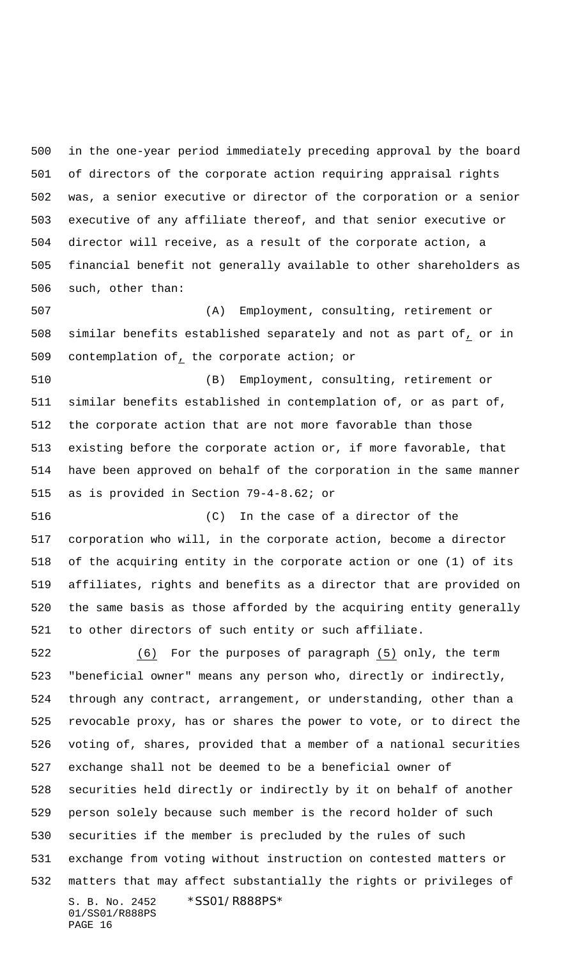in the one-year period immediately preceding approval by the board of directors of the corporate action requiring appraisal rights was, a senior executive or director of the corporation or a senior executive of any affiliate thereof, and that senior executive or director will receive, as a result of the corporate action, a financial benefit not generally available to other shareholders as such, other than:

 (A) Employment, consulting, retirement or similar benefits established separately and not as part of, or in contemplation of, the corporate action; or

 (B) Employment, consulting, retirement or similar benefits established in contemplation of, or as part of, the corporate action that are not more favorable than those existing before the corporate action or, if more favorable, that have been approved on behalf of the corporation in the same manner as is provided in Section 79-4-8.62; or

 (C) In the case of a director of the corporation who will, in the corporate action, become a director of the acquiring entity in the corporate action or one (1) of its affiliates, rights and benefits as a director that are provided on the same basis as those afforded by the acquiring entity generally to other directors of such entity or such affiliate.

S. B. No. 2452 \*SS01/R888PS\* 01/SS01/R888PS PAGE 16 (6) For the purposes of paragraph (5) only, the term "beneficial owner" means any person who, directly or indirectly, through any contract, arrangement, or understanding, other than a revocable proxy, has or shares the power to vote, or to direct the voting of, shares, provided that a member of a national securities exchange shall not be deemed to be a beneficial owner of securities held directly or indirectly by it on behalf of another person solely because such member is the record holder of such securities if the member is precluded by the rules of such exchange from voting without instruction on contested matters or matters that may affect substantially the rights or privileges of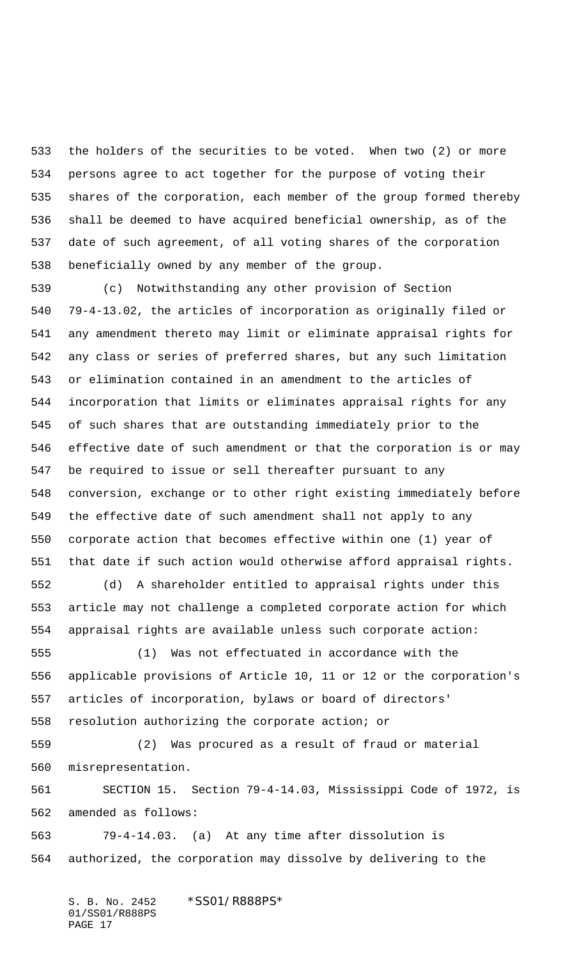the holders of the securities to be voted. When two (2) or more persons agree to act together for the purpose of voting their shares of the corporation, each member of the group formed thereby shall be deemed to have acquired beneficial ownership, as of the date of such agreement, of all voting shares of the corporation beneficially owned by any member of the group.

 (c) Notwithstanding any other provision of Section 79-4-13.02, the articles of incorporation as originally filed or any amendment thereto may limit or eliminate appraisal rights for any class or series of preferred shares, but any such limitation or elimination contained in an amendment to the articles of incorporation that limits or eliminates appraisal rights for any of such shares that are outstanding immediately prior to the effective date of such amendment or that the corporation is or may be required to issue or sell thereafter pursuant to any conversion, exchange or to other right existing immediately before the effective date of such amendment shall not apply to any corporate action that becomes effective within one (1) year of that date if such action would otherwise afford appraisal rights.

 (d) A shareholder entitled to appraisal rights under this article may not challenge a completed corporate action for which appraisal rights are available unless such corporate action:

 (1) Was not effectuated in accordance with the applicable provisions of Article 10, 11 or 12 or the corporation's articles of incorporation, bylaws or board of directors' resolution authorizing the corporate action; or

 (2) Was procured as a result of fraud or material misrepresentation.

 SECTION 15. Section 79-4-14.03, Mississippi Code of 1972, is amended as follows:

 79-4-14.03. (a) At any time after dissolution is authorized, the corporation may dissolve by delivering to the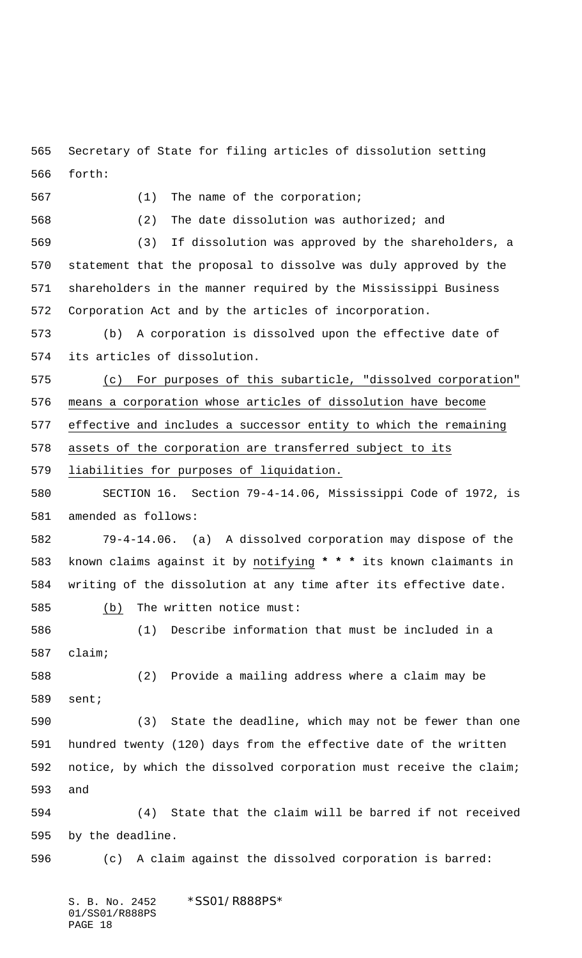Secretary of State for filing articles of dissolution setting forth:

(1) The name of the corporation;

(2) The date dissolution was authorized; and

 (3) If dissolution was approved by the shareholders, a statement that the proposal to dissolve was duly approved by the shareholders in the manner required by the Mississippi Business Corporation Act and by the articles of incorporation.

 (b) A corporation is dissolved upon the effective date of its articles of dissolution.

 (c) For purposes of this subarticle, "dissolved corporation" means a corporation whose articles of dissolution have become effective and includes a successor entity to which the remaining

assets of the corporation are transferred subject to its

liabilities for purposes of liquidation.

 SECTION 16. Section 79-4-14.06, Mississippi Code of 1972, is amended as follows:

 79-4-14.06. (a) A dissolved corporation may dispose of the known claims against it by notifying **\* \* \*** its known claimants in writing of the dissolution at any time after its effective date. (b) The written notice must:

 (1) Describe information that must be included in a claim;

 (2) Provide a mailing address where a claim may be sent;

 (3) State the deadline, which may not be fewer than one hundred twenty (120) days from the effective date of the written notice, by which the dissolved corporation must receive the claim; and

 (4) State that the claim will be barred if not received by the deadline.

(c) A claim against the dissolved corporation is barred: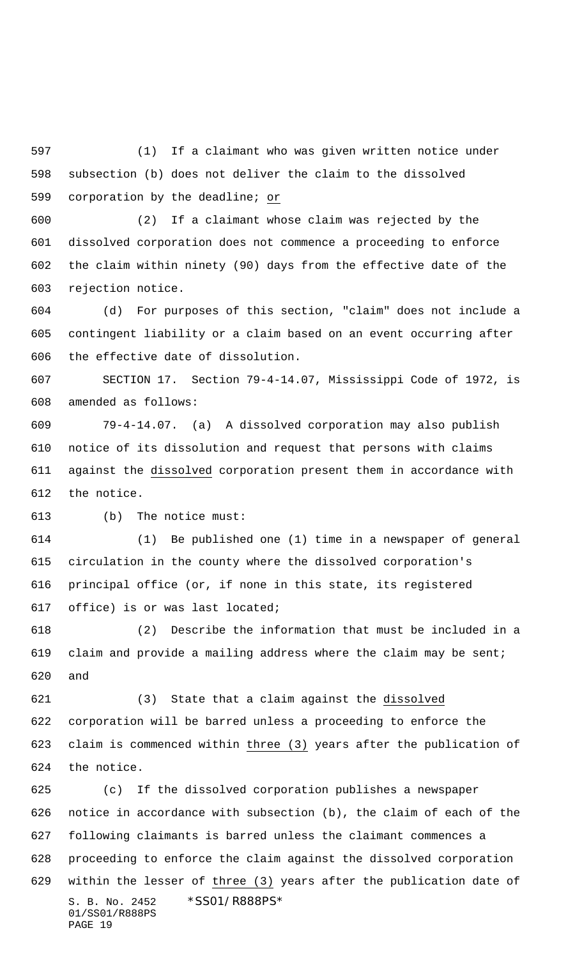(1) If a claimant who was given written notice under subsection (b) does not deliver the claim to the dissolved corporation by the deadline; or

 (2) If a claimant whose claim was rejected by the dissolved corporation does not commence a proceeding to enforce the claim within ninety (90) days from the effective date of the rejection notice.

 (d) For purposes of this section, "claim" does not include a contingent liability or a claim based on an event occurring after the effective date of dissolution.

 SECTION 17. Section 79-4-14.07, Mississippi Code of 1972, is amended as follows:

 79-4-14.07. (a) A dissolved corporation may also publish notice of its dissolution and request that persons with claims against the dissolved corporation present them in accordance with the notice.

(b) The notice must:

 (1) Be published one (1) time in a newspaper of general circulation in the county where the dissolved corporation's principal office (or, if none in this state, its registered office) is or was last located;

 (2) Describe the information that must be included in a 619 claim and provide a mailing address where the claim may be sent; and

 (3) State that a claim against the dissolved corporation will be barred unless a proceeding to enforce the claim is commenced within three (3) years after the publication of the notice.

S. B. No. 2452 \* SS01/R888PS\* 01/SS01/R888PS PAGE 19 (c) If the dissolved corporation publishes a newspaper notice in accordance with subsection (b), the claim of each of the following claimants is barred unless the claimant commences a proceeding to enforce the claim against the dissolved corporation 629 within the lesser of  $three (3)$  years after the publication date of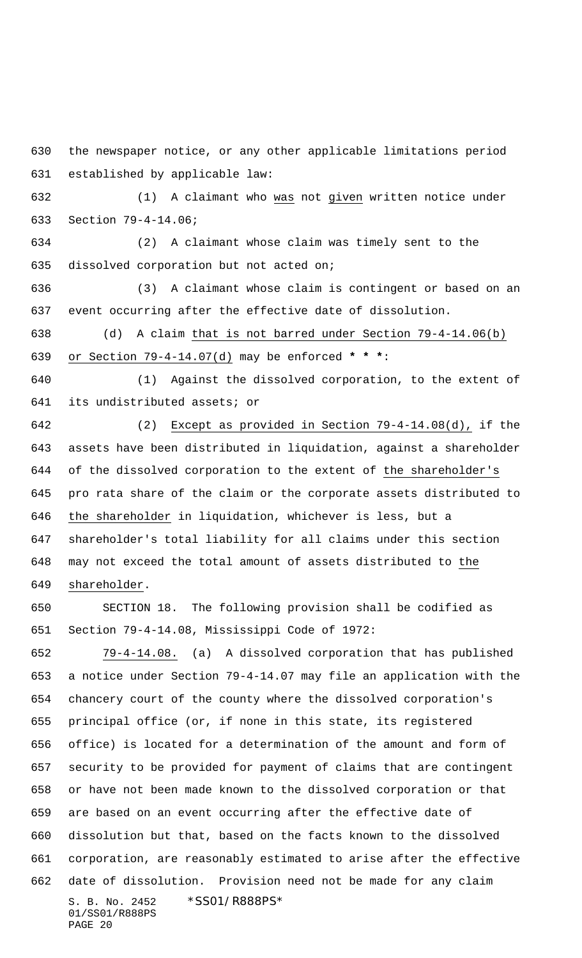the newspaper notice, or any other applicable limitations period established by applicable law:

 (1) A claimant who was not given written notice under Section 79-4-14.06;

 (2) A claimant whose claim was timely sent to the dissolved corporation but not acted on;

 (3) A claimant whose claim is contingent or based on an event occurring after the effective date of dissolution.

 (d) A claim that is not barred under Section 79-4-14.06(b) or Section 79-4-14.07(d) may be enforced **\* \* \***:

 (1) Against the dissolved corporation, to the extent of its undistributed assets; or

 (2) Except as provided in Section 79-4-14.08(d), if the assets have been distributed in liquidation, against a shareholder of the dissolved corporation to the extent of the shareholder's pro rata share of the claim or the corporate assets distributed to the shareholder in liquidation, whichever is less, but a shareholder's total liability for all claims under this section may not exceed the total amount of assets distributed to the shareholder.

 SECTION 18. The following provision shall be codified as Section 79-4-14.08, Mississippi Code of 1972:

S. B. No. 2452 \* SS01/R888PS\* 01/SS01/R888PS PAGE 20 79-4-14.08. (a) A dissolved corporation that has published a notice under Section 79-4-14.07 may file an application with the chancery court of the county where the dissolved corporation's principal office (or, if none in this state, its registered office) is located for a determination of the amount and form of security to be provided for payment of claims that are contingent or have not been made known to the dissolved corporation or that are based on an event occurring after the effective date of dissolution but that, based on the facts known to the dissolved corporation, are reasonably estimated to arise after the effective date of dissolution. Provision need not be made for any claim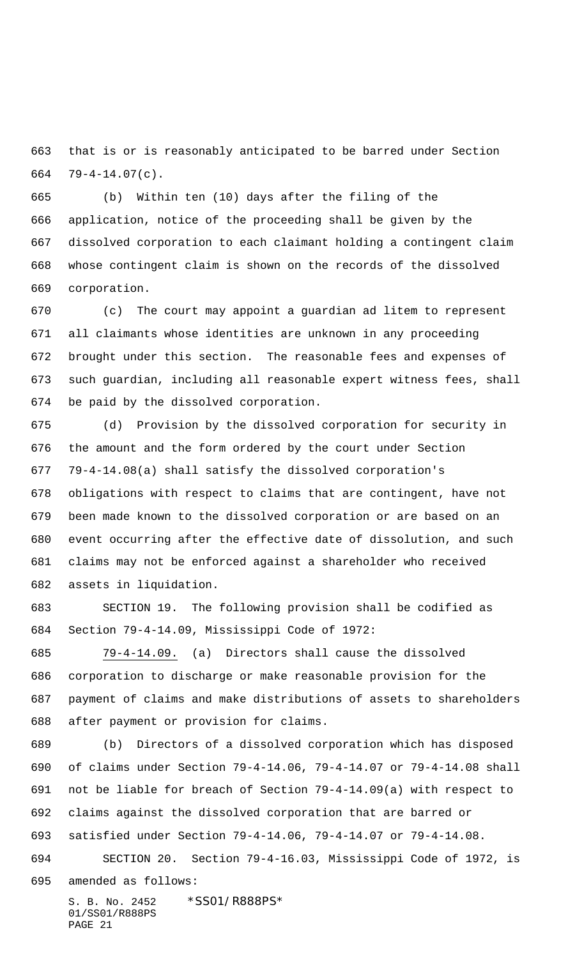that is or is reasonably anticipated to be barred under Section 79-4-14.07(c).

 (b) Within ten (10) days after the filing of the application, notice of the proceeding shall be given by the dissolved corporation to each claimant holding a contingent claim whose contingent claim is shown on the records of the dissolved corporation.

 (c) The court may appoint a guardian ad litem to represent all claimants whose identities are unknown in any proceeding brought under this section. The reasonable fees and expenses of such guardian, including all reasonable expert witness fees, shall be paid by the dissolved corporation.

 (d) Provision by the dissolved corporation for security in the amount and the form ordered by the court under Section 79-4-14.08(a) shall satisfy the dissolved corporation's obligations with respect to claims that are contingent, have not been made known to the dissolved corporation or are based on an event occurring after the effective date of dissolution, and such claims may not be enforced against a shareholder who received assets in liquidation.

 SECTION 19. The following provision shall be codified as Section 79-4-14.09, Mississippi Code of 1972:

 79-4-14.09. (a) Directors shall cause the dissolved corporation to discharge or make reasonable provision for the payment of claims and make distributions of assets to shareholders after payment or provision for claims.

 (b) Directors of a dissolved corporation which has disposed of claims under Section 79-4-14.06, 79-4-14.07 or 79-4-14.08 shall not be liable for breach of Section 79-4-14.09(a) with respect to claims against the dissolved corporation that are barred or satisfied under Section 79-4-14.06, 79-4-14.07 or 79-4-14.08. SECTION 20. Section 79-4-16.03, Mississippi Code of 1972, is

amended as follows: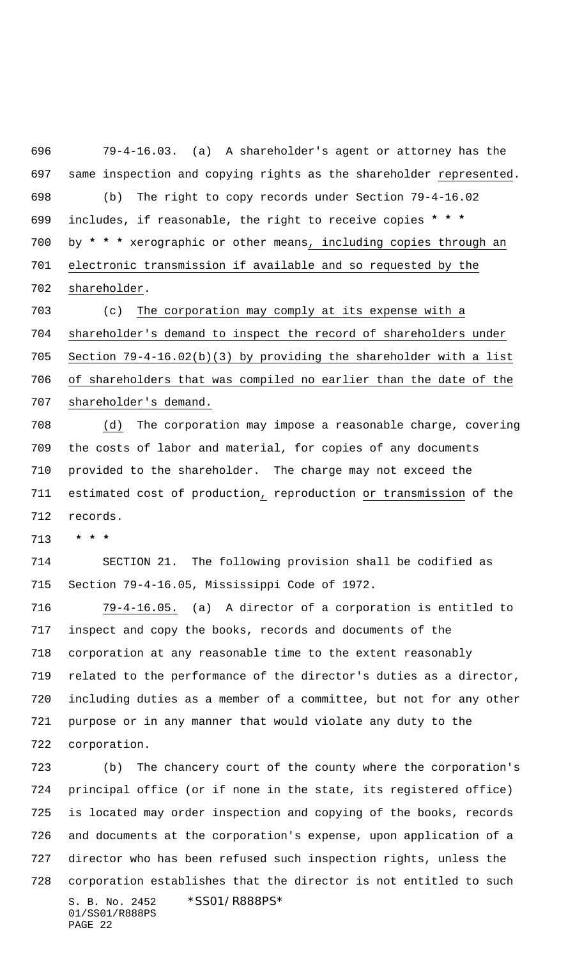79-4-16.03. (a) A shareholder's agent or attorney has the same inspection and copying rights as the shareholder represented. (b) The right to copy records under Section 79-4-16.02 includes, if reasonable, the right to receive copies **\* \* \*** by **\* \* \*** xerographic or other means, including copies through an electronic transmission if available and so requested by the shareholder.

 (c) The corporation may comply at its expense with a shareholder's demand to inspect the record of shareholders under Section 79-4-16.02(b)(3) by providing the shareholder with a list of shareholders that was compiled no earlier than the date of the shareholder's demand.

 (d) The corporation may impose a reasonable charge, covering the costs of labor and material, for copies of any documents provided to the shareholder. The charge may not exceed the estimated cost of production, reproduction or transmission of the records.

 **\* \* \***

 SECTION 21. The following provision shall be codified as Section 79-4-16.05, Mississippi Code of 1972.

 79-4-16.05. (a) A director of a corporation is entitled to inspect and copy the books, records and documents of the corporation at any reasonable time to the extent reasonably related to the performance of the director's duties as a director, including duties as a member of a committee, but not for any other purpose or in any manner that would violate any duty to the corporation.

S. B. No. 2452 \*SS01/R888PS\* 01/SS01/R888PS PAGE 22 (b) The chancery court of the county where the corporation's principal office (or if none in the state, its registered office) is located may order inspection and copying of the books, records and documents at the corporation's expense, upon application of a director who has been refused such inspection rights, unless the corporation establishes that the director is not entitled to such